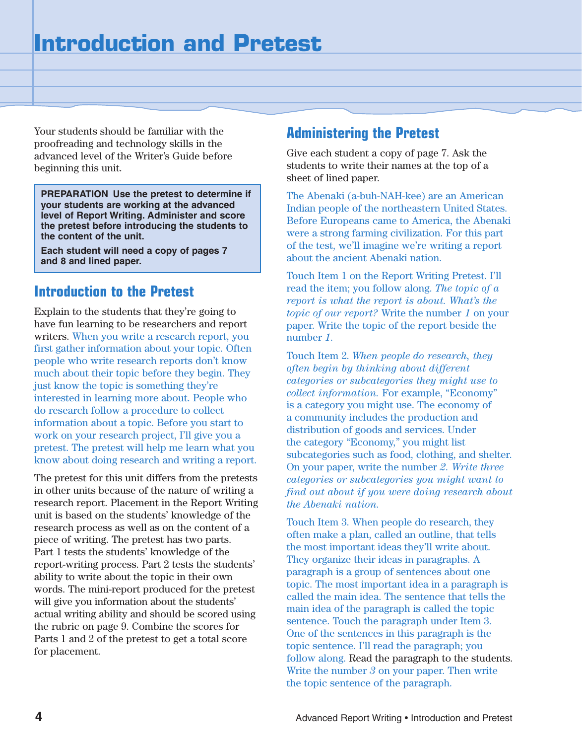Your students should be familiar with the proofreading and technology skills in the advanced level of the Writer's Guide before beginning this unit.

**PREPARATION Use the pretest to determine if your students are working at the advanced level of Report Writing. Administer and score the pretest before introducing the students to the content of the unit.**

**Each student will need a copy of pages 7 and 8 and lined paper.**

### **Introduction to the Pretest**

Explain to the students that they're going to have fun learning to be researchers and report writers. When you write a research report, you first gather information about your topic. Often people who write research reports don't know much about their topic before they begin. They just know the topic is something they're interested in learning more about. People who do research follow a procedure to collect information about a topic. Before you start to work on your research project, I'll give you a pretest. The pretest will help me learn what you know about doing research and writing a report.

The pretest for this unit differs from the pretests in other units because of the nature of writing a research report. Placement in the Report Writing unit is based on the students' knowledge of the research process as well as on the content of a piece of writing. The pretest has two parts. Part 1 tests the students' knowledge of the report-writing process. Part 2 tests the students' ability to write about the topic in their own words. The mini-report produced for the pretest will give you information about the students' actual writing ability and should be scored using the rubric on page 9. Combine the scores for Parts 1 and 2 of the pretest to get a total score for placement.

### **Administering the Pretest**

Give each student a copy of page 7. Ask the students to write their names at the top of a sheet of lined paper.

The Abenaki (a-buh-NAH-kee) are an American Indian people of the northeastern United States. Before Europeans came to America, the Abenaki were a strong farming civilization. For this part of the test, we'll imagine we're writing a report about the ancient Abenaki nation.

Touch Item 1 on the Report Writing Pretest. I'll read the item; you follow along. *The topic of a report is what the report is about. What's the topic of our report?* Write the number *1* on your paper. Write the topic of the report beside the number *1.* 

Touch Item 2. *When people do research, they often begin by thinking about different categories or subcategories they might use to collect information.* For example, "Economy" is a category you might use. The economy of a community includes the production and distribution of goods and services. Under the category "Economy," you might list subcategories such as food, clothing, and shelter. On your paper, write the number *2. Write three categories or subcategories you might want to find out about if you were doing research about the Abenaki nation.* 

Touch Item 3. When people do research, they often make a plan, called an outline, that tells the most important ideas they'll write about. They organize their ideas in paragraphs. A paragraph is a group of sentences about one topic. The most important idea in a paragraph is called the main idea. The sentence that tells the main idea of the paragraph is called the topic sentence. Touch the paragraph under Item 3. One of the sentences in this paragraph is the topic sentence. I'll read the paragraph; you follow along. Read the paragraph to the students. Write the number *3* on your paper. Then write the topic sentence of the paragraph.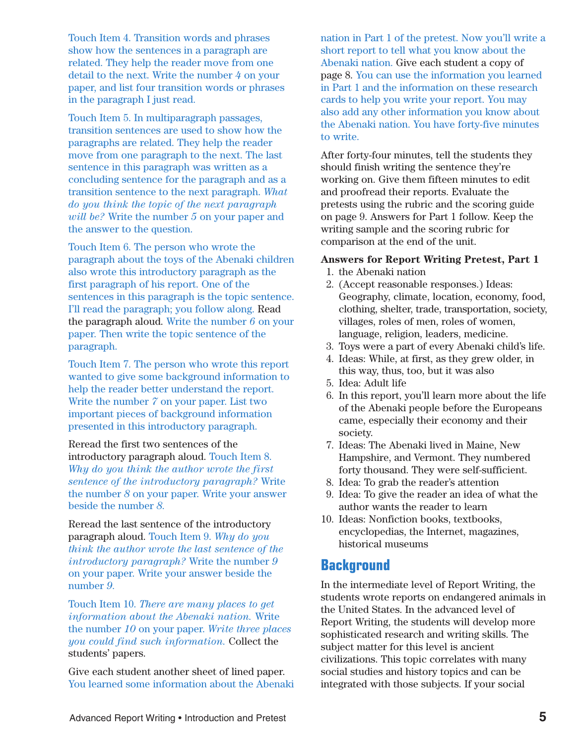Touch Item 4. Transition words and phrases show how the sentences in a paragraph are related. They help the reader move from one detail to the next. Write the number *4* on your paper, and list four transition words or phrases in the paragraph I just read.

Touch Item 5. In multiparagraph passages, transition sentences are used to show how the paragraphs are related. They help the reader move from one paragraph to the next. The last sentence in this paragraph was written as a concluding sentence for the paragraph and as a transition sentence to the next paragraph. *What do you think the topic of the next paragraph will be?* Write the number *5* on your paper and the answer to the question.

Touch Item 6. The person who wrote the paragraph about the toys of the Abenaki children also wrote this introductory paragraph as the first paragraph of his report. One of the sentences in this paragraph is the topic sentence. I'll read the paragraph; you follow along. Read the paragraph aloud. Write the number *6* on your paper. Then write the topic sentence of the paragraph.

Touch Item 7. The person who wrote this report wanted to give some background information to help the reader better understand the report. Write the number *7* on your paper. List two important pieces of background information presented in this introductory paragraph.

Reread the first two sentences of the introductory paragraph aloud. Touch Item 8. *Why do you think the author wrote the first sentence of the introductory paragraph?* Write the number *8* on your paper. Write your answer beside the number *8.*

Reread the last sentence of the introductory paragraph aloud. Touch Item 9. *Why do you think the author wrote the last sentence of the introductory paragraph?* Write the number *9*  on your paper. Write your answer beside the number *9.*

Touch Item 10. *There are many places to get information about the Abenaki nation.* Write the number *10* on your paper. *Write three places you could find such information.* Collect the students' papers.

Give each student another sheet of lined paper. You learned some information about the Abenaki nation in Part 1 of the pretest. Now you'll write a short report to tell what you know about the Abenaki nation. Give each student a copy of page 8. You can use the information you learned in Part 1 and the information on these research cards to help you write your report. You may also add any other information you know about the Abenaki nation. You have forty-five minutes to write.

After forty-four minutes, tell the students they should finish writing the sentence they're working on. Give them fifteen minutes to edit and proofread their reports. Evaluate the pretests using the rubric and the scoring guide on page 9. Answers for Part 1 follow. Keep the writing sample and the scoring rubric for comparison at the end of the unit.

#### **Answers for Report Writing Pretest, Part 1**

- 1. the Abenaki nation
- 2. (Accept reasonable responses.) Ideas: Geography, climate, location, economy, food, clothing, shelter, trade, transportation, society, villages, roles of men, roles of women, language, religion, leaders, medicine.
- 3. Toys were a part of every Abenaki child's life.
- 4. Ideas: While, at first, as they grew older, in this way, thus, too, but it was also
- 5. Idea: Adult life
- 6. In this report, you'll learn more about the life of the Abenaki people before the Europeans came, especially their economy and their society.
- 7. Ideas: The Abenaki lived in Maine, New Hampshire, and Vermont. They numbered forty thousand. They were self-sufficient.
- 8. Idea: To grab the reader's attention
- 9. Idea: To give the reader an idea of what the author wants the reader to learn
- 10. Ideas: Nonfiction books, textbooks, encyclopedias, the Internet, magazines, historical museums

#### **Background**

In the intermediate level of Report Writing, the students wrote reports on endangered animals in the United States. In the advanced level of Report Writing, the students will develop more sophisticated research and writing skills. The subject matter for this level is ancient civilizations. This topic correlates with many social studies and history topics and can be integrated with those subjects. If your social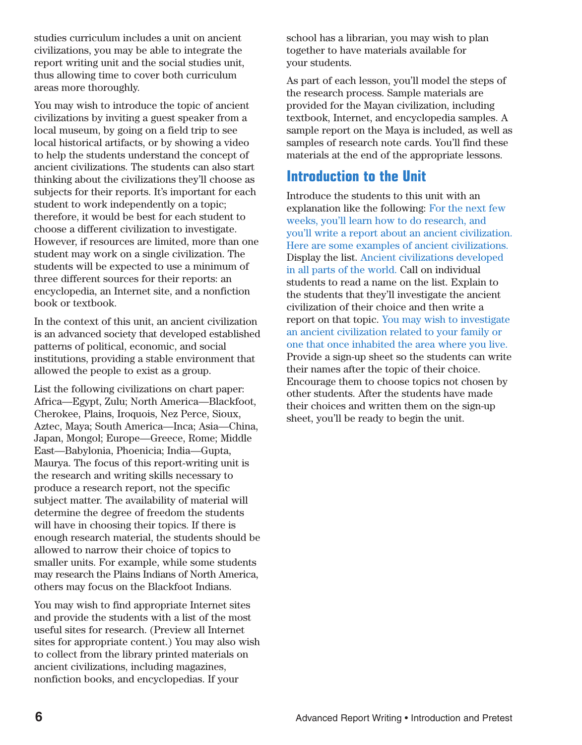studies curriculum includes a unit on ancient civilizations, you may be able to integrate the report writing unit and the social studies unit, thus allowing time to cover both curriculum areas more thoroughly.

You may wish to introduce the topic of ancient civilizations by inviting a guest speaker from a local museum, by going on a field trip to see local historical artifacts, or by showing a video to help the students understand the concept of ancient civilizations. The students can also start thinking about the civilizations they'll choose as subjects for their reports. It's important for each student to work independently on a topic; therefore, it would be best for each student to choose a different civilization to investigate. However, if resources are limited, more than one student may work on a single civilization. The students will be expected to use a minimum of three different sources for their reports: an encyclopedia, an Internet site, and a nonfiction book or textbook.

In the context of this unit, an ancient civilization is an advanced society that developed established patterns of political, economic, and social institutions, providing a stable environment that allowed the people to exist as a group.

List the following civilizations on chart paper: Africa—Egypt, Zulu; North America—Blackfoot, Cherokee, Plains, Iroquois, Nez Perce, Sioux, Aztec, Maya; South America—Inca; Asia—China, Japan, Mongol; Europe—Greece, Rome; Middle East—Babylonia, Phoenicia; India—Gupta, Maurya. The focus of this report-writing unit is the research and writing skills necessary to produce a research report, not the specific subject matter. The availability of material will determine the degree of freedom the students will have in choosing their topics. If there is enough research material, the students should be allowed to narrow their choice of topics to smaller units. For example, while some students may research the Plains Indians of North America, others may focus on the Blackfoot Indians.

You may wish to find appropriate Internet sites and provide the students with a list of the most useful sites for research. (Preview all Internet sites for appropriate content.) You may also wish to collect from the library printed materials on ancient civilizations, including magazines, nonfiction books, and encyclopedias. If your

school has a librarian, you may wish to plan together to have materials available for your students.

As part of each lesson, you'll model the steps of the research process. Sample materials are provided for the Mayan civilization, including textbook, Internet, and encyclopedia samples. A sample report on the Maya is included, as well as samples of research note cards. You'll find these materials at the end of the appropriate lessons.

## **Introduction to the Unit**

Introduce the students to this unit with an explanation like the following: For the next few weeks, you'll learn how to do research, and you'll write a report about an ancient civilization. Here are some examples of ancient civilizations. Display the list. Ancient civilizations developed in all parts of the world. Call on individual students to read a name on the list. Explain to the students that they'll investigate the ancient civilization of their choice and then write a report on that topic. You may wish to investigate an ancient civilization related to your family or one that once inhabited the area where you live. Provide a sign-up sheet so the students can write their names after the topic of their choice. Encourage them to choose topics not chosen by other students. After the students have made their choices and written them on the sign-up sheet, you'll be ready to begin the unit.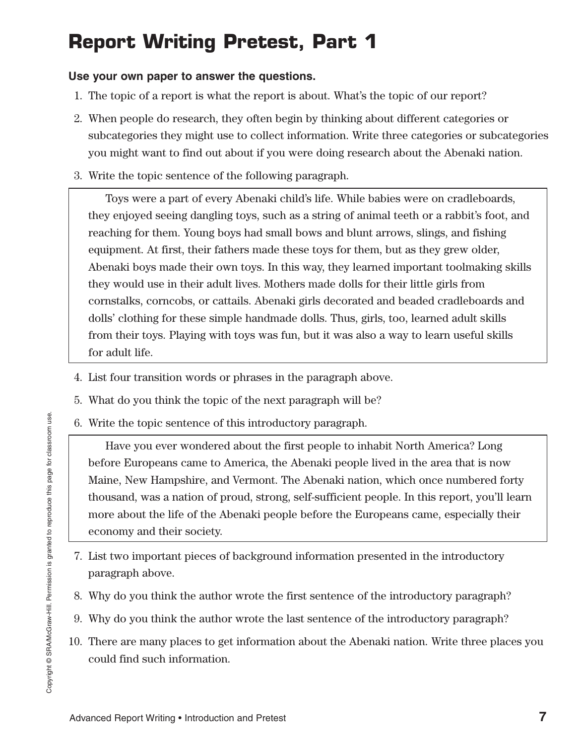# **Report Writing Pretest, Part 1**

#### **Use your own paper to answer the questions.**

- 1. The topic of a report is what the report is about. What's the topic of our report?
- 2. When people do research, they often begin by thinking about different categories or subcategories they might use to collect information. Write three categories or subcategories you might want to find out about if you were doing research about the Abenaki nation.
- 3. Write the topic sentence of the following paragraph.

Toys were a part of every Abenaki child's life. While babies were on cradleboards, they enjoyed seeing dangling toys, such as a string of animal teeth or a rabbit's foot, and reaching for them. Young boys had small bows and blunt arrows, slings, and fishing equipment. At first, their fathers made these toys for them, but as they grew older, Abenaki boys made their own toys. In this way, they learned important toolmaking skills they would use in their adult lives. Mothers made dolls for their little girls from cornstalks, corncobs, or cattails. Abenaki girls decorated and beaded cradleboards and dolls' clothing for these simple handmade dolls. Thus, girls, too, learned adult skills from their toys. Playing with toys was fun, but it was also a way to learn useful skills for adult life.

- 4. List four transition words or phrases in the paragraph above.
- 5. What do you think the topic of the next paragraph will be?
- 6. Write the topic sentence of this introductory paragraph.

Have you ever wondered about the first people to inhabit North America? Long before Europeans came to America, the Abenaki people lived in the area that is now Maine, New Hampshire, and Vermont. The Abenaki nation, which once numbered forty thousand, was a nation of proud, strong, self-sufficient people. In this report, you'll learn more about the life of the Abenaki people before the Europeans came, especially their economy and their society.

- 7. List two important pieces of background information presented in the introductory paragraph above.
- 8. Why do you think the author wrote the first sentence of the introductory paragraph?
- 9. Why do you think the author wrote the last sentence of the introductory paragraph?
- 10. There are many places to get information about the Abenaki nation. Write three places you could find such information.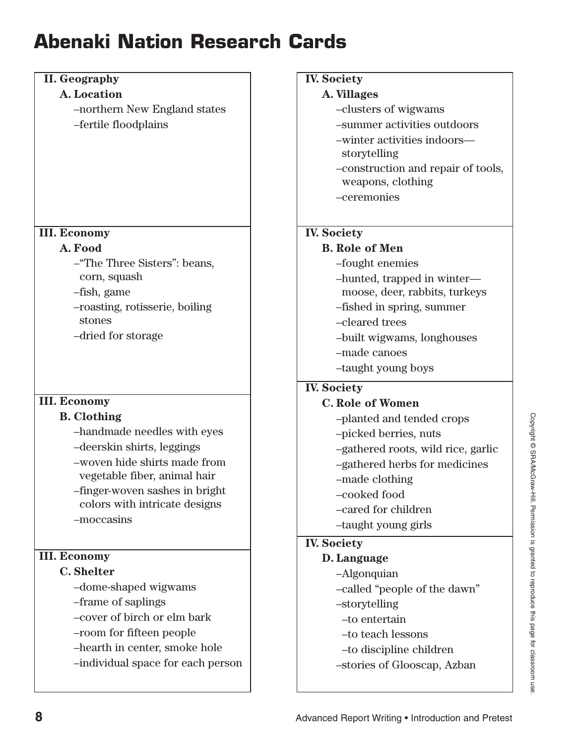# **Abenaki Nation Research Cards**

| <b>II.</b> Geography              | <b>IV. Society</b>                 |
|-----------------------------------|------------------------------------|
| A. Location                       | A. Villages                        |
| -northern New England states      | -clusters of wigwams               |
| -fertile floodplains              | -summer activities outdoors        |
|                                   | -winter activities indoors-        |
|                                   | storytelling                       |
|                                   | -construction and repair of tools, |
|                                   | weapons, clothing                  |
|                                   | -ceremonies                        |
|                                   |                                    |
| <b>III. Economy</b>               | <b>IV.</b> Society                 |
| A. Food                           | <b>B.</b> Role of Men              |
| -"The Three Sisters": beans,      | -fought enemies                    |
| corn, squash                      | -hunted, trapped in winter-        |
| -fish, game                       | moose, deer, rabbits, turkeys      |
| -roasting, rotisserie, boiling    | -fished in spring, summer          |
| stones                            | -cleared trees                     |
| -dried for storage                | -built wigwams, longhouses         |
|                                   | -made canoes                       |
|                                   | -taught young boys                 |
|                                   | <b>IV.</b> Society                 |
|                                   |                                    |
| <b>III. Economy</b>               | <b>C. Role of Women</b>            |
| <b>B.</b> Clothing                | -planted and tended crops          |
| -handmade needles with eyes       | -picked berries, nuts              |
| -deerskin shirts, leggings        | -gathered roots, wild rice, garlic |
| -woven hide shirts made from      | -gathered herbs for medicines      |
| vegetable fiber, animal hair      | -made clothing                     |
| -finger-woven sashes in bright    | -cooked food                       |
| colors with intricate designs     | -cared for children                |
| -moccasins                        | -taught young girls                |
|                                   | <b>IV.</b> Society                 |
| <b>III. Economy</b>               | D. Language                        |
| <b>C.</b> Shelter                 | -Algonquian                        |
| -dome-shaped wigwams              | -called "people of the dawn"       |
| -frame of saplings                | -storytelling                      |
| -cover of birch or elm bark       | -to entertain                      |
| -room for fifteen people          | -to teach lessons                  |
| -hearth in center, smoke hole     | -to discipline children            |
| -individual space for each person | -stories of Glooscap, Azban        |